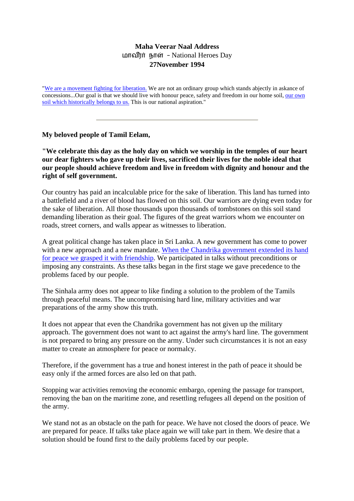## **Maha Veerar Naal Address**  மாவீரர் நாள் - National Heroes Day **27November 1994**

"[We are a movement fighting for liberation.](http://www.tamilnation.org/tamileelam/armedstruggle/index.htm) We are not an ordinary group which stands abjectly in askance of concessions...Our goal is that we should live with honour peace, safety and freedom in our home soil, our own [soil which historically belongs to](http://www.tamilnation.org/selfdetermination/tamileelam/9202reversion.htm) us. This is our national aspiration."

**My beloved people of Tamil Eelam,**

**"We celebrate this day as the holy day on which we worship in the temples of our heart our dear fighters who gave up their lives, sacrificed their lives for the noble ideal that our people should achieve freedom and live in freedom with dignity and honour and the right of self government.**

Our country has paid an incalculable price for the sake of liberation. This land has turned into a battlefield and a river of blood has flowed on this soil. Our warriors are dying even today for the sake of liberation. All those thousands upon thousands of tombstones on this soil stand demanding liberation as their goal. The figures of the great warriors whom we encounter on roads, street corners, and walls appear as witnesses to liberation.

A great political change has taken place in Sri Lanka. A new government has come to power with a new approach and a new mandate. When the Chandrika government extended its hand [for peace we grasped it with friendship](http://www.tamilnation.org/conflictresolution/tamileelam/cbktalks/index.htm). We participated in talks without preconditions or imposing any constraints. As these talks began in the first stage we gave precedence to the problems faced by our people.

The Sinhala army does not appear to like finding a solution to the problem of the Tamils through peaceful means. The uncompromising hard line, military activities and war preparations of the army show this truth.

It does not appear that even the Chandrika government has not given up the military approach. The government does not want to act against the army's hard line. The government is not prepared to bring any pressure on the army. Under such circumstances it is not an easy matter to create an atmosphere for peace or normalcy.

Therefore, if the government has a true and honest interest in the path of peace it should be easy only if the armed forces are also led on that path.

Stopping war activities removing the economic embargo, opening the passage for transport, removing the ban on the maritime zone, and resettling refugees all depend on the position of the army.

We stand not as an obstacle on the path for peace. We have not closed the doors of peace. We are prepared for peace. If talks take place again we will take part in them. We desire that a solution should be found first to the daily problems faced by our people.